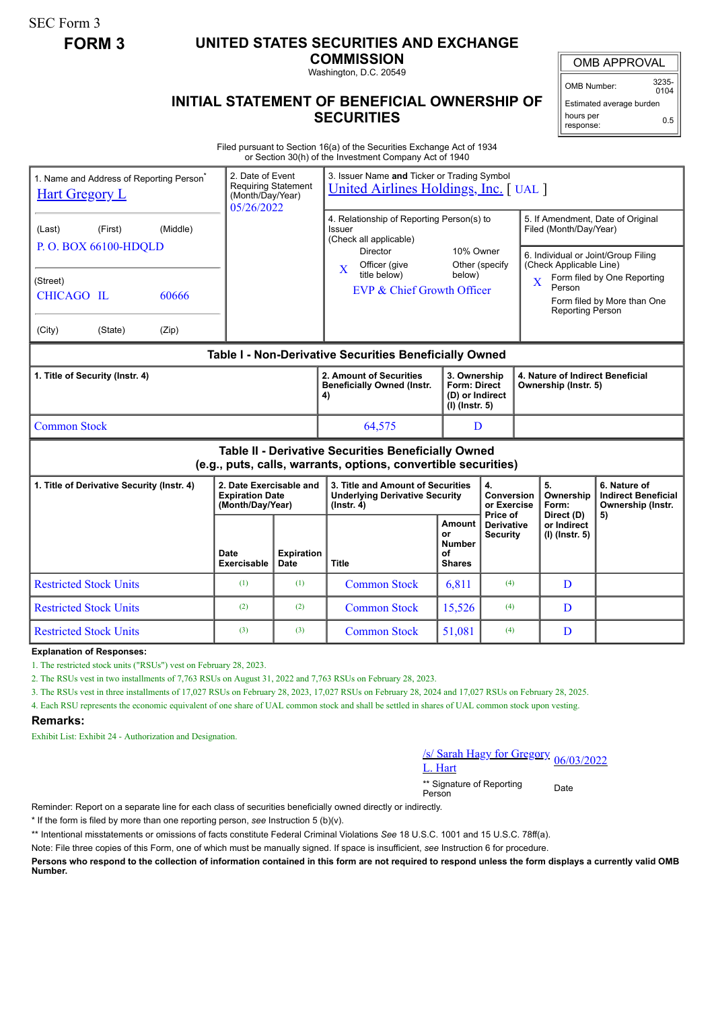SEC Form 3

## **FORM 3 UNITED STATES SECURITIES AND EXCHANGE**

**COMMISSION** Washington, D.C. 20549

OMB APPROVAL

OMB Number: 3235-  $0104$ 

## **INITIAL STATEMENT OF BENEFICIAL OWNERSHIP OF SECURITIES**

Estimated average burden hours per response: 0.5

Filed pursuant to Section 16(a) of the Securities Exchange Act of 1934 or Section 30(h) of the Investment Company Act of 1940

| 1. Name and Address of Reporting Person <sup>®</sup><br><b>Hart Gregory L</b>                                                |                                                                                        |                     | 2. Date of Event<br><b>Requiring Statement</b><br>(Month/Day/Year)<br>05/26/2022 |                                                                                                                                                                                | 3. Issuer Name and Ticker or Trading Symbol<br>United Airlines Holdings, Inc. [ UAL ]          |                                                  |                                 |                                                                                        |                                                                                                                                        |                                                                 |  |
|------------------------------------------------------------------------------------------------------------------------------|----------------------------------------------------------------------------------------|---------------------|----------------------------------------------------------------------------------|--------------------------------------------------------------------------------------------------------------------------------------------------------------------------------|------------------------------------------------------------------------------------------------|--------------------------------------------------|---------------------------------|----------------------------------------------------------------------------------------|----------------------------------------------------------------------------------------------------------------------------------------|-----------------------------------------------------------------|--|
| (Last)<br>(Street)<br>(City)                                                                                                 | (Middle)<br>(First)<br>P.O. BOX 66100-HDQLD<br>CHICAGO IL<br>60666<br>(State)<br>(Zip) |                     |                                                                                  | 4. Relationship of Reporting Person(s) to<br>Issuer<br>(Check all applicable)<br><b>Director</b><br>Officer (give<br>$\mathbf X$<br>title below)<br>EVP & Chief Growth Officer | 10% Owner<br>below)                                                                            | Other (specify                                   | $\overline{\mathbf{X}}$         | Filed (Month/Day/Year)<br>(Check Applicable Line)<br>Person<br><b>Reporting Person</b> | 5. If Amendment, Date of Original<br>6. Individual or Joint/Group Filing<br>Form filed by One Reporting<br>Form filed by More than One |                                                                 |  |
| Table I - Non-Derivative Securities Beneficially Owned                                                                       |                                                                                        |                     |                                                                                  |                                                                                                                                                                                |                                                                                                |                                                  |                                 |                                                                                        |                                                                                                                                        |                                                                 |  |
| 1. Title of Security (Instr. 4)                                                                                              |                                                                                        |                     |                                                                                  |                                                                                                                                                                                | 2. Amount of Securities<br><b>Beneficially Owned (Instr.</b><br>4)                             | <b>Form: Direct</b><br>$(I)$ (lnstr. 5)          | 3. Ownership<br>(D) or Indirect |                                                                                        | 4. Nature of Indirect Beneficial<br>Ownership (Instr. 5)                                                                               |                                                                 |  |
| <b>Common Stock</b>                                                                                                          |                                                                                        |                     |                                                                                  |                                                                                                                                                                                | 64,575                                                                                         | D                                                |                                 |                                                                                        |                                                                                                                                        |                                                                 |  |
| <b>Table II - Derivative Securities Beneficially Owned</b><br>(e.g., puts, calls, warrants, options, convertible securities) |                                                                                        |                     |                                                                                  |                                                                                                                                                                                |                                                                                                |                                                  |                                 |                                                                                        |                                                                                                                                        |                                                                 |  |
| 1. Title of Derivative Security (Instr. 4)                                                                                   |                                                                                        |                     | 2. Date Exercisable and<br><b>Expiration Date</b><br>(Month/Day/Year)            |                                                                                                                                                                                | 3. Title and Amount of Securities<br><b>Underlying Derivative Security</b><br>$($ lnstr. 4 $)$ | 4.<br>Conversion<br>or Exercise                  |                                 |                                                                                        | 5.<br>Ownership<br>Form:                                                                                                               | 6. Nature of<br><b>Indirect Beneficial</b><br>Ownership (Instr. |  |
|                                                                                                                              |                                                                                        | Date<br>Exercisable | <b>Expiration</b><br><b>Date</b>                                                 | <b>Title</b>                                                                                                                                                                   | Amount<br>or<br><b>Number</b><br>οf<br><b>Shares</b>                                           | Price of<br><b>Derivative</b><br><b>Security</b> |                                 | Direct (D)<br>or Indirect<br>$(I)$ (Instr. 5)                                          | 5)                                                                                                                                     |                                                                 |  |
| <b>Restricted Stock Units</b>                                                                                                |                                                                                        |                     | (1)                                                                              | (1)                                                                                                                                                                            | <b>Common Stock</b>                                                                            | 6,811                                            | (4)                             |                                                                                        | D                                                                                                                                      |                                                                 |  |
| <b>Restricted Stock Units</b>                                                                                                |                                                                                        |                     | (2)                                                                              | (2)                                                                                                                                                                            | <b>Common Stock</b>                                                                            | 15,526                                           | (4)                             |                                                                                        | D                                                                                                                                      |                                                                 |  |
| <b>Restricted Stock Units</b>                                                                                                |                                                                                        | (3)                 | (3)                                                                              | <b>Common Stock</b>                                                                                                                                                            | 51,081                                                                                         | (4)                                              |                                 | D                                                                                      |                                                                                                                                        |                                                                 |  |

**Explanation of Responses:**

1. The restricted stock units ("RSUs") vest on February 28, 2023.

2. The RSUs vest in two installments of 7,763 RSUs on August 31, 2022 and 7,763 RSUs on February 28, 2023.

3. The RSUs vest in three installments of 17,027 RSUs on February 28, 2023, 17,027 RSUs on February 28, 2024 and 17,027 RSUs on February 28, 2025.

4. Each RSU represents the economic equivalent of one share of UAL common stock and shall be settled in shares of UAL common stock upon vesting.

## **Remarks:**

Exhibit List: Exhibit 24 - Authorization and Designation.

/s/ Sarah Hagy for Gregory 06/03/2022<br>L. Hart

\*\* Signature of Reporting <sub>Date</sub><br>Person

Reminder: Report on a separate line for each class of securities beneficially owned directly or indirectly.

\* If the form is filed by more than one reporting person, *see* Instruction 5 (b)(v).

\*\* Intentional misstatements or omissions of facts constitute Federal Criminal Violations *See* 18 U.S.C. 1001 and 15 U.S.C. 78ff(a).

Note: File three copies of this Form, one of which must be manually signed. If space is insufficient, *see* Instruction 6 for procedure.

**Persons who respond to the collection of information contained in this form are not required to respond unless the form displays a currently valid OMB Number.**